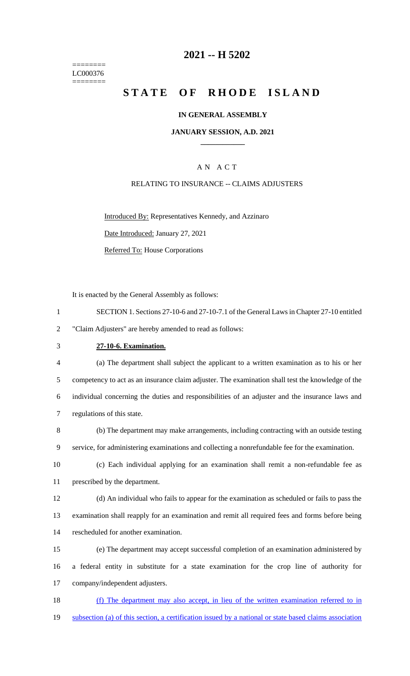======== LC000376 ========

### **2021 -- H 5202**

# **STATE OF RHODE ISLAND**

#### **IN GENERAL ASSEMBLY**

#### **JANUARY SESSION, A.D. 2021 \_\_\_\_\_\_\_\_\_\_\_\_**

### A N A C T

#### RELATING TO INSURANCE -- CLAIMS ADJUSTERS

Introduced By: Representatives Kennedy, and Azzinaro Date Introduced: January 27, 2021

Referred To: House Corporations

It is enacted by the General Assembly as follows:

| SECTION 1. Sections 27-10-6 and 27-10-7.1 of the General Laws in Chapter 27-10 entitled |
|-----------------------------------------------------------------------------------------|
| "Claim Adjusters" are hereby amended to read as follows:                                |

### 3 **27-10-6. Examination.**

 (a) The department shall subject the applicant to a written examination as to his or her competency to act as an insurance claim adjuster. The examination shall test the knowledge of the individual concerning the duties and responsibilities of an adjuster and the insurance laws and regulations of this state.

8 (b) The department may make arrangements, including contracting with an outside testing 9 service, for administering examinations and collecting a nonrefundable fee for the examination.

10 (c) Each individual applying for an examination shall remit a non-refundable fee as 11 prescribed by the department.

12 (d) An individual who fails to appear for the examination as scheduled or fails to pass the 13 examination shall reapply for an examination and remit all required fees and forms before being 14 rescheduled for another examination.

15 (e) The department may accept successful completion of an examination administered by 16 a federal entity in substitute for a state examination for the crop line of authority for 17 company/independent adjusters.

18 (f) The department may also accept, in lieu of the written examination referred to in 19 subsection (a) of this section, a certification issued by a national or state based claims association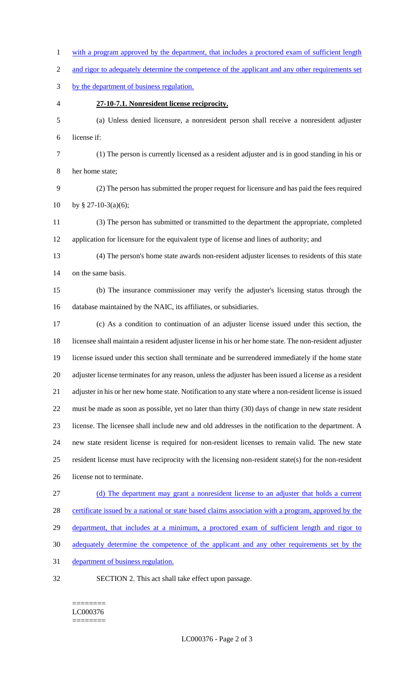1 with a program approved by the department, that includes a proctored exam of sufficient length 2 and rigor to adequately determine the competence of the applicant and any other requirements set by the department of business regulation. **27-10-7.1. Nonresident license reciprocity.** (a) Unless denied licensure, a nonresident person shall receive a nonresident adjuster license if: (1) The person is currently licensed as a resident adjuster and is in good standing in his or her home state; (2) The person has submitted the proper request for licensure and has paid the fees required 10 by § 27-10-3(a)(6); (3) The person has submitted or transmitted to the department the appropriate, completed application for licensure for the equivalent type of license and lines of authority; and (4) The person's home state awards non-resident adjuster licenses to residents of this state on the same basis. (b) The insurance commissioner may verify the adjuster's licensing status through the database maintained by the NAIC, its affiliates, or subsidiaries. (c) As a condition to continuation of an adjuster license issued under this section, the licensee shall maintain a resident adjuster license in his or her home state. The non-resident adjuster license issued under this section shall terminate and be surrendered immediately if the home state adjuster license terminates for any reason, unless the adjuster has been issued a license as a resident adjuster in his or her new home state. Notification to any state where a non-resident license is issued must be made as soon as possible, yet no later than thirty (30) days of change in new state resident license. The licensee shall include new and old addresses in the notification to the department. A new state resident license is required for non-resident licenses to remain valid. The new state resident license must have reciprocity with the licensing non-resident state(s) for the non-resident license not to terminate. (d) The department may grant a nonresident license to an adjuster that holds a current certificate issued by a national or state based claims association with a program, approved by the 29 department, that includes at a minimum, a proctored exam of sufficient length and rigor to adequately determine the competence of the applicant and any other requirements set by the 31 department of business regulation. SECTION 2. This act shall take effect upon passage.

#### ======== LC000376 ========